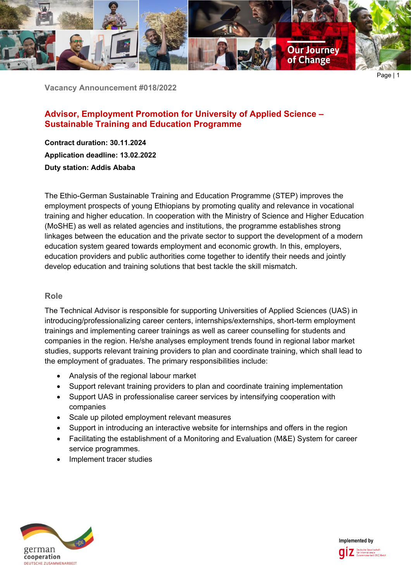

**Vacancy Announcement #018/2022**

# **Advisor, Employment Promotion for University of Applied Science – Sustainable Training and Education Programme**

**Contract duration: 30.11.2024 Application deadline: 13.02.2022 Duty station: Addis Ababa**

The Ethio-German Sustainable Training and Education Programme (STEP) improves the employment prospects of young Ethiopians by promoting quality and relevance in vocational training and higher education. In cooperation with the Ministry of Science and Higher Education (MoSHE) as well as related agencies and institutions, the programme establishes strong linkages between the education and the private sector to support the development of a modern education system geared towards employment and economic growth. In this, employers, education providers and public authorities come together to identify their needs and jointly develop education and training solutions that best tackle the skill mismatch.

## **Role**

The Technical Advisor is responsible for supporting Universities of Applied Sciences (UAS) in introducing/professionalizing career centers, internships/externships, short-term employment trainings and implementing career trainings as well as career counselling for students and companies in the region. He/she analyses employment trends found in regional labor market studies, supports relevant training providers to plan and coordinate training, which shall lead to the employment of graduates. The primary responsibilities include:

- Analysis of the regional labour market
- Support relevant training providers to plan and coordinate training implementation
- Support UAS in professionalise career services by intensifying cooperation with companies
- Scale up piloted employment relevant measures
- Support in introducing an interactive website for internships and offers in the region
- Facilitating the establishment of a Monitoring and Evaluation (M&E) System for career service programmes.
- Implement tracer studies



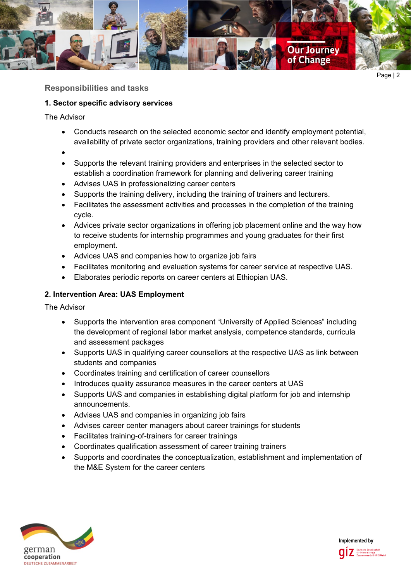

**Responsibilities and tasks**

# **1. Sector specific advisory services**

The Advisor

- Conducts research on the selected economic sector and identify employment potential, availability of private sector organizations, training providers and other relevant bodies.
- •
- Supports the relevant training providers and enterprises in the selected sector to establish a coordination framework for planning and delivering career training
- Advises UAS in professionalizing career centers
- Supports the training delivery, including the training of trainers and lecturers.
- Facilitates the assessment activities and processes in the completion of the training cycle.
- Advices private sector organizations in offering job placement online and the way how to receive students for internship programmes and young graduates for their first employment.
- Advices UAS and companies how to organize job fairs
- Facilitates monitoring and evaluation systems for career service at respective UAS.
- Elaborates periodic reports on career centers at Ethiopian UAS.

# **2. Intervention Area: UAS Employment**

The Advisor

- Supports the intervention area component "University of Applied Sciences" including the development of regional labor market analysis, competence standards, curricula and assessment packages
- Supports UAS in qualifying career counsellors at the respective UAS as link between students and companies
- Coordinates training and certification of career counsellors
- Introduces quality assurance measures in the career centers at UAS
- Supports UAS and companies in establishing digital platform for job and internship announcements.
- Advises UAS and companies in organizing job fairs
- Advises career center managers about career trainings for students
- Facilitates training-of-trainers for career trainings
- Coordinates qualification assessment of career training trainers
- Supports and coordinates the conceptualization, establishment and implementation of the M&E System for the career centers



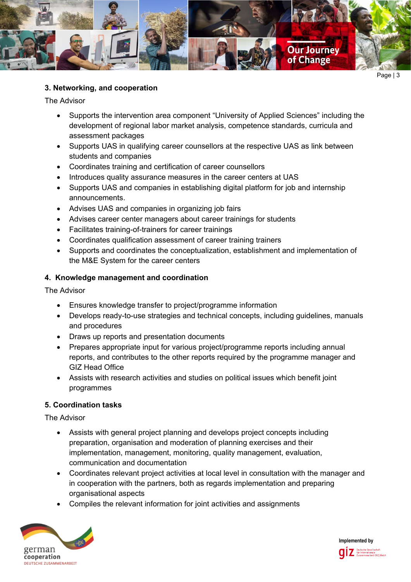

## **3. Networking, and cooperation**

The Advisor

- Supports the intervention area component "University of Applied Sciences" including the development of regional labor market analysis, competence standards, curricula and assessment packages
- Supports UAS in qualifying career counsellors at the respective UAS as link between students and companies
- Coordinates training and certification of career counsellors
- Introduces quality assurance measures in the career centers at UAS
- Supports UAS and companies in establishing digital platform for job and internship announcements.
- Advises UAS and companies in organizing job fairs
- Advises career center managers about career trainings for students
- Facilitates training-of-trainers for career trainings
- Coordinates qualification assessment of career training trainers
- Supports and coordinates the conceptualization, establishment and implementation of the M&E System for the career centers

## **4. Knowledge management and coordination**

The Advisor

- Ensures knowledge transfer to project/programme information
- Develops ready-to-use strategies and technical concepts, including guidelines, manuals and procedures
- Draws up reports and presentation documents
- Prepares appropriate input for various project/programme reports including annual reports, and contributes to the other reports required by the programme manager and GIZ Head Office
- Assists with research activities and studies on political issues which benefit joint programmes

## **5. Coordination tasks**

The Advisor

- Assists with general project planning and develops project concepts including preparation, organisation and moderation of planning exercises and their implementation, management, monitoring, quality management, evaluation, communication and documentation
- Coordinates relevant project activities at local level in consultation with the manager and in cooperation with the partners, both as regards implementation and preparing organisational aspects
- Compiles the relevant information for joint activities and assignments



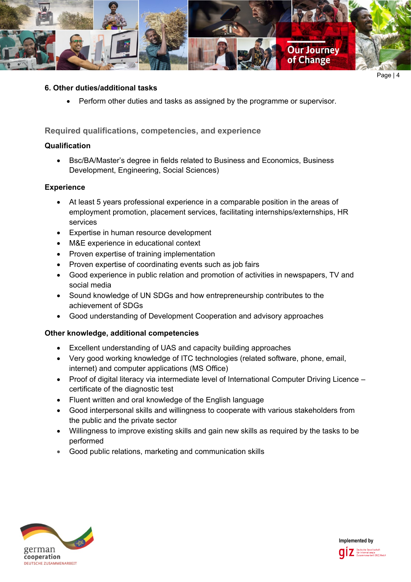

#### **6. Other duties/additional tasks**

• Perform other duties and tasks as assigned by the programme or supervisor.

**Required qualifications, competencies, and experience**

#### **Qualification**

• Bsc/BA/Master's degree in fields related to Business and Economics, Business Development, Engineering, Social Sciences)

## **Experience**

- At least 5 years professional experience in a comparable position in the areas of employment promotion, placement services, facilitating internships/externships, HR services
- Expertise in human resource development
- M&E experience in educational context
- Proven expertise of training implementation
- Proven expertise of coordinating events such as job fairs
- Good experience in public relation and promotion of activities in newspapers, TV and social media
- Sound knowledge of UN SDGs and how entrepreneurship contributes to the achievement of SDGs
- Good understanding of Development Cooperation and advisory approaches

## **Other knowledge, additional competencies**

- Excellent understanding of UAS and capacity building approaches
- Very good working knowledge of ITC technologies (related software, phone, email, internet) and computer applications (MS Office)
- Proof of digital literacy via intermediate level of International Computer Driving Licence certificate of the diagnostic test
- Fluent written and oral knowledge of the English language
- Good interpersonal skills and willingness to cooperate with various stakeholders from the public and the private sector
- Willingness to improve existing skills and gain new skills as required by the tasks to be performed
- Good public relations, marketing and communication skills